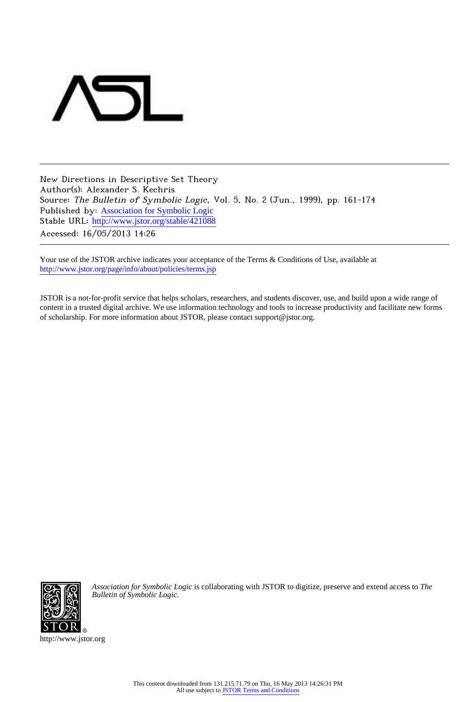

New Directions in Descriptive Set Theory Author(s): Alexander S. Kechris Source: The Bulletin of Symbolic Logic, Vol. 5, No. 2 (Jun., 1999), pp. 161-174 Published by: [Association for Symbolic Logic](http://www.jstor.org/action/showPublisher?publisherCode=asl) Stable URL: http://www.jstor.org/stable/421088 Accessed: 16/05/2013 14:26

Your use of the JSTOR archive indicates your acceptance of the Terms & Conditions of Use, available at <http://www.jstor.org/page/info/about/policies/terms.jsp>

JSTOR is a not-for-profit service that helps scholars, researchers, and students discover, use, and build upon a wide range of content in a trusted digital archive. We use information technology and tools to increase productivity and facilitate new forms of scholarship. For more information about JSTOR, please contact support@jstor.org.



*Association for Symbolic Logic* is collaborating with JSTOR to digitize, preserve and extend access to *The Bulletin of Symbolic Logic.*

http://www.jstor.org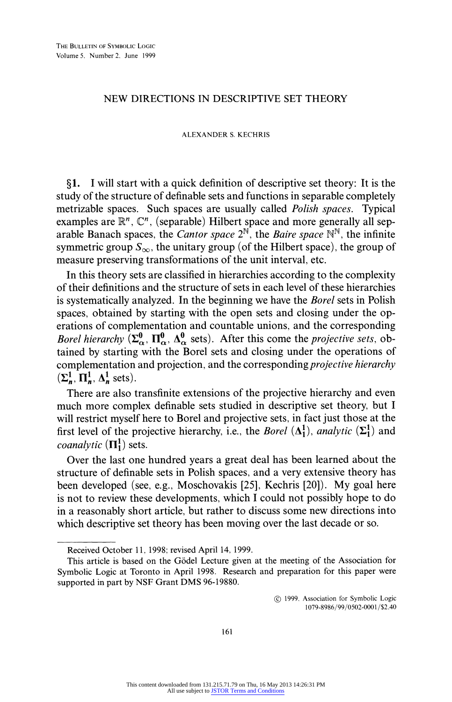## **NEW DIRECTIONS IN DESCRIPTIVE SET THEORY**

## **ALEXANDER S. KECHRIS**

**?1. I will start with a quick definition of descriptive set theory: It is the study of the structure of definable sets and functions in separable completely metrizable spaces. Such spaces are usually called Polish spaces. Typical**  examples are  $\mathbb{R}^n$ ,  $\mathbb{C}^n$ , (separable) Hilbert space and more generally all separable Banach spaces, the *Cantor space*  $2^N$ , the *Baire space*  $N^N$ , the infinite symmetric group  $S_{\infty}$ , the unitary group (of the Hilbert space), the group of **measure preserving transformations of the unit interval, etc.** 

**In this theory sets are classified in hierarchies according to the complexity of their definitions and the structure of sets in each level of these hierarchies is systematically analyzed. In the beginning we have the Borel sets in Polish spaces, obtained by starting with the open sets and closing under the operations of complementation and countable unions, and the corresponding**  *Borel hierarchy*  $(\Sigma^0_\alpha, \Pi^0_\alpha, \Delta^0_\alpha$  sets). After this come the *projective sets*, ob**tained by starting with the Borel sets and closing under the operations of**  complementation and projection, and the corresponding *projective hierarchy*  $(\Sigma_n^1, \Pi_n^1, \Delta_n^1$  sets).

**There are also transfinite extensions of the projective hierarchy and even much more complex definable sets studied in descriptive set theory, but I will restrict myself here to Borel and projective sets, in fact just those at the**  first level of the projective hierarchy, i.e., the *Borel*  $(\Lambda_1^1)$ *, analytic*  $(\Sigma_1^1)$  and *coanalytic*  $(\Pi_1^1)$  sets.

**Over the last one hundred years a great deal has been learned about the structure of definable sets in Polish spaces, and a very extensive theory has been developed (see, e.g., Moschovakis [25], Kechris [20]). My goal here is not to review these developments, which I could not possibly hope to do in a reasonably short article, but rather to discuss some new directions into which descriptive set theory has been moving over the last decade or so.** 

**(? 1999. Association for Symbolic Logic 1079-8986/99/0502-0001 /\$2.40** 

**Received October 11, 1998; revised April 14, 1999.** 

**This article is based on the Godel Lecture given at the meeting of the Association for Symbolic Logic at Toronto in April 1998. Research and preparation for this paper were supported in part by NSF Grant DMS 96-19880.**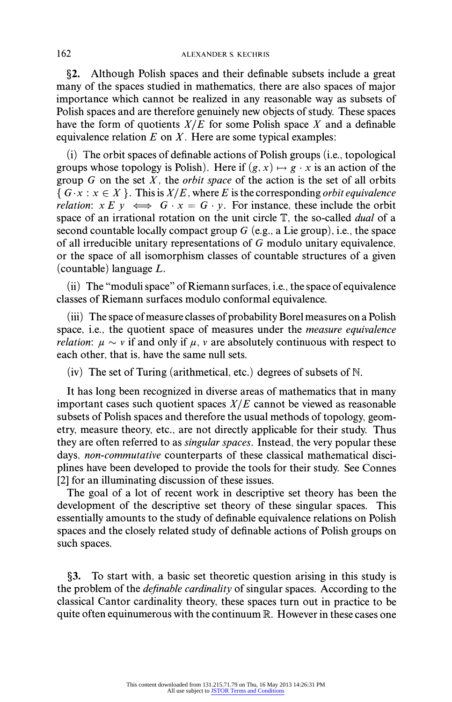**?2. Although Polish spaces and their definable subsets include a great many of the spaces studied in mathematics, there are also spaces of major importance which cannot be realized in any reasonable way as subsets of Polish spaces and are therefore genuinely new objects of study. These spaces have the form of quotients X/E for some Polish space X and a definable equivalence relation E on X. Here are some typical examples:** 

**(i) The orbit spaces of definable actions of Polish groups (i.e., topological groups** whose topology is Polish). Here if  $(g, x) \mapsto g \cdot x$  is an action of the **group G on the set X, the orbit space of the action is the set of all orbits**   $\{G \cdot x : x \in X\}$ . This is  $X/E$ , where E is the corresponding *orbit equivalence relation:*  $x E y \iff G \cdot x = G \cdot y$ . For instance, these include the orbit **space of an irrational rotation on the unit circle T, the so-called dual of a second countable locally compact group G (e.g., a Lie group), i.e., the space of all irreducible unitary representations of G modulo unitary equivalence, or the space of all isomorphism classes of countable structures of a given (countable) language L.** 

**(ii) The "moduli space" of Riemann surfaces, i.e., the space of equivalence classes of Riemann surfaces modulo conformal equivalence.** 

**(iii) The space of measure classes of probability Borel measures on a Polish space, i.e., the quotient space of measures under the measure equivalence**  *relation:*  $\mu \sim v$  if and only if  $\mu$ ,  $v$  are absolutely continuous with respect to **each other, that is, have the same null sets.** 

**(iv) The set of Turing (arithmetical, etc.) degrees of subsets of N.** 

**It has long been recognized in diverse areas of mathematics that in many important cases such quotient spaces X/E cannot be viewed as reasonable subsets of Polish spaces and therefore the usual methods of topology, geometry, measure theory, etc., are not directly applicable for their study. Thus they are often referred to as singular spaces. Instead, the very popular these days, non-commutative counterparts of these classical mathematical disciplines have been developed to provide the tools for their study. See Connes [2] for an illuminating discussion of these issues.** 

**The goal of a lot of recent work in descriptive set theory has been the**  development of the descriptive set theory of these singular spaces. **essentially amounts to the study of definable equivalence relations on Polish spaces and the closely related study of definable actions of Polish groups on such spaces.** 

**?3. To start with, a basic set theoretic question arising in this study is the problem of the definable cardinality of singular spaces. According to the classical Cantor cardinality theory, these spaces turn out in practice to be quite often equinumerous with the continuum R. However in these cases one**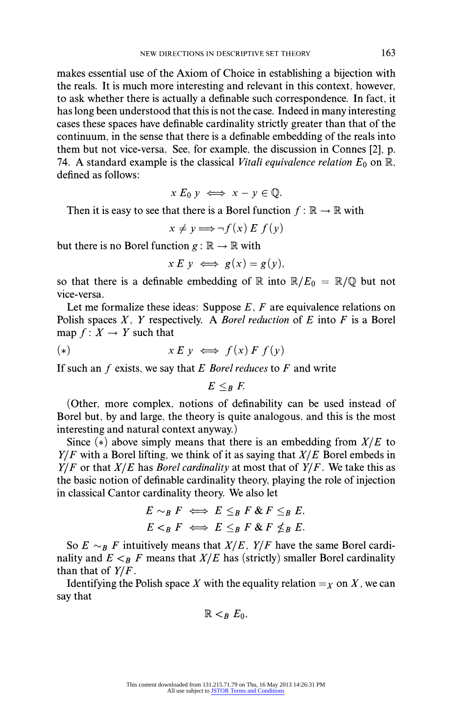**makes essential use of the Axiom of Choice in establishing a bijection with the reals. It is much more interesting and relevant in this context, however, to ask whether there is actually a definable such correspondence. In fact, it has long been understood that this is not the case. Indeed in many interesting cases these spaces have definable cardinality strictly greater than that of the continuum, in the sense that there is a definable embedding of the reals into them but not vice-versa. See, for example, the discussion in Connes [2], p.**  74. A standard example is the classical *Vitali equivalence relation*  $E_0$  on  $\mathbb{R}$ , **defined as follows:** 

 $x E_0 y \iff x - y \in \mathbb{Q}$ .

Then it is easy to see that there is a Borel function  $f : \mathbb{R} \to \mathbb{R}$  with

 $x \neq y \Longrightarrow \neg f(x) E f(y)$ 

but there is no Borel function  $g : \mathbb{R} \to \mathbb{R}$  with

$$
x E y \iff g(x) = g(y),
$$

so that there is a definable embedding of  $\mathbb R$  into  $\mathbb R/E_0 = \mathbb R/\mathbb Q$  but not **vice-versa.** 

Let me formalize these ideas: Suppose E, F are equivalence relations on **Polish spaces X, Y respectively. A Borel reduction of E into F is a Borel**  map  $f: X \rightarrow Y$  such that

$$
(*)\qquad x\,E\,y \iff f(x)\,F\,f(y)
$$

**If such an f exists, we say that E Borel reduces to F and write** 

 $E \leq_B E$ .

**(Other, more complex, notions of definability can be used instead of Borel but, by and large, the theory is quite analogous, and this is the most interesting and natural context anyway.)** 

Since  $(*)$  above simply means that there is an embedding from  $X/E$  to **Y/F with a Borel lifting, we think of it as saying that X/E Borel embeds in Y/F or that X/E has Borel cardinality at most that of Y/F. We take this as the basic notion of definable cardinality theory, playing the role of injection in classical Cantor cardinality theory. We also let** 

$$
E \sim_B F \iff E \leq_B F \& F \leq_B E,
$$
\n
$$
E \lt_B F \iff E \leq_B F \& F \nleq_B E.
$$

So  $E \sim_B F$  intuitively means that  $X/E$ ,  $Y/F$  have the same Borel cardinality and  $E \leq_B F$  means that  $X/E$  has (strictly) smaller Borel cardinality **than that of Y/F.** 

**Identifying the Polish space X with the equality relation**  $=_X$  **on X, we can say that** 

$$
\mathbb{R} <_{B} E_0,
$$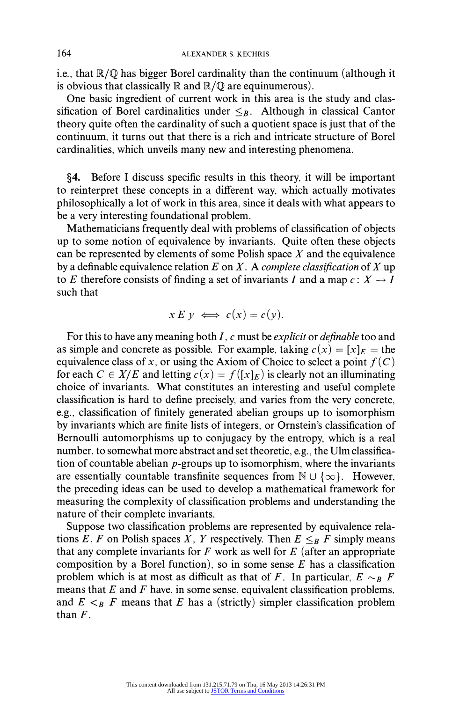**i.e., that R/Q has bigger Borel cardinality than the continuum (although it**  is obvious that classically  $\mathbb R$  and  $\mathbb R/\mathbb Q$  are equinumerous).

**One basic ingredient of current work in this area is the study and clas**sification of Borel cardinalities under  $\leq_B$ . Although in classical Cantor **theory quite often the cardinality of such a quotient space is just that of the continuum, it turns out that there is a rich and intricate structure of Borel cardinalities, which unveils many new and interesting phenomena.** 

**?4. Before I discuss specific results in this theory, it will be important to reinterpret these concepts in a different way, which actually motivates philosophically a lot of work in this area, since it deals with what appears to be a very interesting foundational problem.** 

**Mathematicians frequently deal with problems of classification of objects up to some notion of equivalence by invariants. Quite often these objects can be represented by elements of some Polish space X and the equivalence**  by a definable equivalence relation  $E$  on  $X$ . A *complete classification* of  $X$  up to E therefore consists of finding a set of invariants I and a map  $c: X \rightarrow I$ **such that** 

$$
x E y \iff c(x) = c(y).
$$

For this to have any meaning both *I*, *c* must be *explicit* or *definable* too and as simple and concrete as possible. For example, taking  $c(x) = [x]_F$  = the equivalence class of x, or using the Axiom of Choice to select a point  $f(C)$ for each  $C \in X/E$  and letting  $c(x) = f(|x|_E)$  is clearly not an illuminating **choice of invariants. What constitutes an interesting and useful complete classification is hard to define precisely, and varies from the very concrete, e.g., classification of finitely generated abelian groups up to isomorphism by invariants which are finite lists of integers, or Ornstein's classification of Bernoulli automorphisms up to conjugacy by the entropy, which is a real number, to somewhat more abstract and set theoretic, e.g., the Ulm classification of countable abelian p-groups up to isomorphism, where the invariants**  are essentially countable transfinite sequences from  $\mathbb{N} \cup \{\infty\}$ . However, **the preceding ideas can be used to develop a mathematical framework for measuring the complexity of classification problems and understanding the nature of their complete invariants.** 

**Suppose two classification problems are represented by equivalence rela**tions E, F on Polish spaces X, Y respectively. Then  $E \leq_B F$  simply means that any complete invariants for  $F$  work as well for  $E$  (after an appropriate **composition by a Borel function), so in some sense E has a classification**  problem which is at most as difficult as that of F. In particular,  $E \sim_B F$ **means that E and F have, in some sense, equivalent classification problems,**  and  $E \leq_B F$  means that E has a (strictly) simpler classification problem than  $F$ .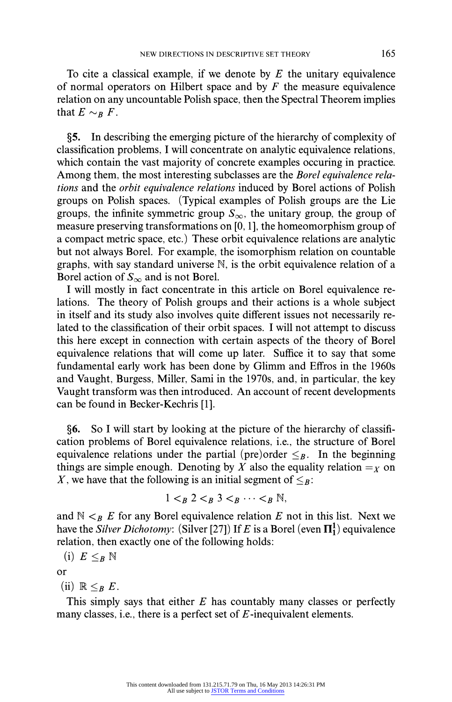**To cite a classical example, if we denote by E the unitary equivalence of normal operators on Hilbert space and by F the measure equivalence relation on any uncountable Polish space, then the Spectral Theorem implies**  that  $E \sim_B F$ .

**?5. In describing the emerging picture of the hierarchy of complexity of classification problems, I will concentrate on analytic equivalence relations, which contain the vast majority of concrete examples occuring in practice. Among them, the most interesting subclasses are the Borel equivalence relations and the orbit equivalence relations induced by Borel actions of Polish groups on Polish spaces. (Typical examples of Polish groups are the Lie**  groups, the infinite symmetric group  $S_{\infty}$ , the unitary group, the group of **measure preserving transformations on [0, 1], the homeomorphism group of a compact metric space, etc.) These orbit equivalence relations are analytic but not always Borel. For example, the isomorphism relation on countable graphs, with say standard universe N, is the orbit equivalence relation of a**  Borel action of  $S_{\infty}$  and is not Borel.

**I will mostly in fact concentrate in this article on Borel equivalence relations. The theory of Polish groups and their actions is a whole subject in itself and its study also involves quite different issues not necessarily related to the classification of their orbit spaces. I will not attempt to discuss this here except in connection with certain aspects of the theory of Borel equivalence relations that will come up later. Suffice it to say that some fundamental early work has been done by Glimm and Effros in the 1960s and Vaught, Burgess, Miller, Sami in the 1970s, and, in particular, the key Vaught transform was then introduced. An account of recent developments can be found in Becker-Kechris [1].** 

**?6. So I will start by looking at the picture of the hierarchy of classification problems of Borel equivalence relations, i.e., the structure of Borel**  equivalence relations under the partial (pre)order  $\leq_B$ . In the beginning things are simple enough. Denoting by X also the equality relation  $=y$  on X, we have that the following is an initial segment of  $\leq_B$ :

$$
1 <_B 2 <_B 3 <_B \cdots <_B \mathbb{N},
$$

and  $\mathbb{N} <_{B} E$  for any Borel equivalence relation E not in this list. Next we have the *Silver Dichotomy*: (Silver [27]) If E is a Borel (even  $\Pi_1^1$ ) equivalence **relation, then exactly one of the following holds:** 

$$
(i) E \leq_B \mathbb{N}
$$

**or** 

 $(i) \mathbb{R} \leq_B E$ .

**This simply says that either E has countably many classes or perfectly many classes, i.e., there is a perfect set of E-inequivalent elements.**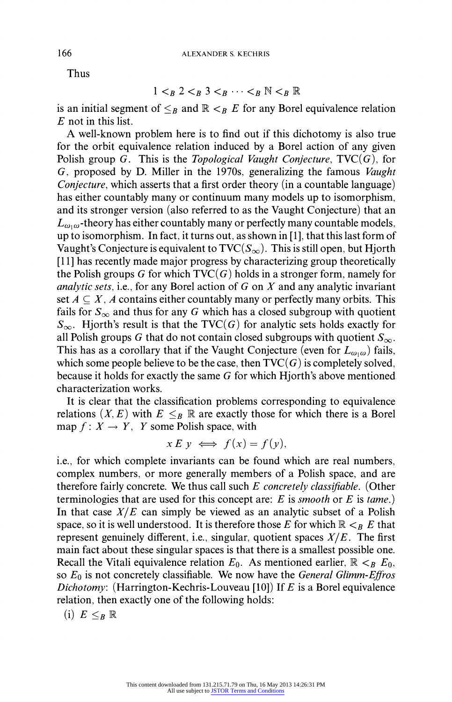**Thus** 

$$
1 <_B 2 <_B 3 <_B \cdots <_B \mathbb{N} <_B \mathbb{R}
$$

is an initial segment of  $\leq_B$  and  $\mathbb{R} \leq_B E$  for any Borel equivalence relation **E not in this list.** 

**A well-known problem here is to find out if this dichotomy is also true for the orbit equivalence relation induced by a Borel action of any given**  Polish group  $G$ . This is the *Topological Vaught Conjecture*,  $TVC(G)$ , for **G, proposed by D. Miller in the 1970s, generalizing the famous Vaught Conjecture, which asserts that a first order theory (in a countable language) has either countably many or continuum many models up to isomorphism, and its stronger version (also referred to as the Vaught Conjecture) that an**   $L_{\omega,\omega}$ -theory has either countably many or perfectly many countable models, **up to isomorphism. In fact, it turns out, as shown in [1], that this last form of**  Vaught's Conjecture is equivalent to  $TVC(S_{\infty})$ . This is still open, but Hjorth **[11] has recently made major progress by characterizing group theoretically**  the Polish groups G for which  $TVC(G)$  holds in a stronger form, namely for **analytic sets, i.e., for any Borel action of G on X and any analytic invariant**  set  $A \subseteq X$ , A contains either countably many or perfectly many orbits. This fails for  $S_{\infty}$  and thus for any G which has a closed subgroup with quotient  $S_{\infty}$ . Hjorth's result is that the TVC(G) for analytic sets holds exactly for all Polish groups G that do not contain closed subgroups with quotient  $S_{\infty}$ . This has as a corollary that if the Vaught Conjecture (even for  $L_{\omega_1\omega}$ ) fails, which some people believe to be the case, then  $TVC(G)$  is completely solved, **because it holds for exactly the same G for which Hjorth's above mentioned characterization works.** 

**It is clear that the classification problems corresponding to equivalence**  relations  $(X, E)$  with  $E \leq_B \mathbb{R}$  are exactly those for which there is a Borel map  $f: X \to Y$ , *Y* some Polish space, with

$$
x E y \iff f(x) = f(y),
$$

**i.e., for which complete invariants can be found which are real numbers, complex numbers, or more generally members of a Polish space, and are therefore fairly concrete. We thus call such E concretely classifiable. (Other terminologies that are used for this concept are: E is smooth or E is tame.) In that case X/E can simply be viewed as an analytic subset of a Polish**  space, so it is well understood. It is therefore those E for which  $\mathbb{R} \leq_B E$  that **represent genuinely different, i.e., singular, quotient spaces X/E. The first main fact about these singular spaces is that there is a smallest possible one. Recall the Vitali equivalence relation**  $E_0$ **. As mentioned earlier,**  $\mathbb{R} \leq_B E_0$ **, so Eo is not concretely classifiable. We now have the General Glimm-Effros Dichotomy: (Harrington-Kechris-Louveau [10]) If E is a Borel equivalence relation, then exactly one of the following holds:** 

$$
{\rm (i)}\ \ E \leq_B \mathbb{R}
$$

**166**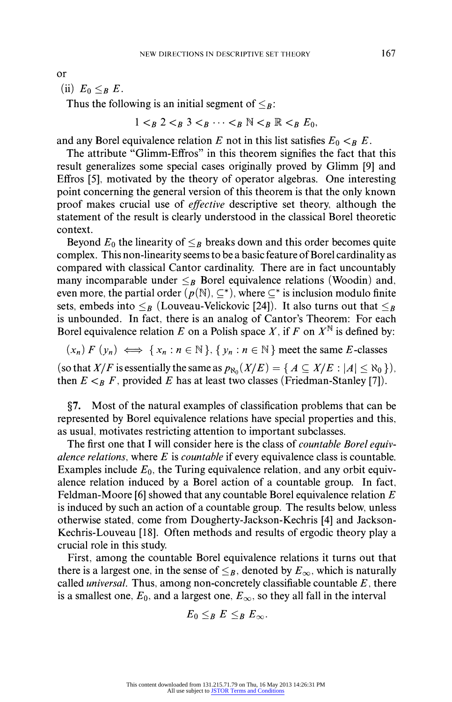**or** 

(ii)  $E_0 \leq_B E$ .

Thus the following is an initial segment of  $\leq_B$ :

 $1 \lt_B 2 \lt_B 3 \lt_B \cdots \lt_B \mathbb{N} \lt_B \mathbb{R} \lt_B E_0$ 

and any Borel equivalence relation E not in this list satisfies  $E_0 \lt_B E$ .

**The attribute "Glimm-Effros" in this theorem signifies the fact that this result generalizes some special cases originally proved by Glimm [9] and Effros [5], motivated by the theory of operator algebras. One interesting point concerning the general version of this theorem is that the only known proof makes crucial use of effective descriptive set theory, although the statement of the result is clearly understood in the classical Borel theoretic context.** 

Beyond  $E_0$  the linearity of  $\leq_B$  breaks down and this order becomes quite **complex. This non-linearity seems to be a basic feature of Borel cardinality as compared with classical Cantor cardinality. There are in fact uncountably many incomparable under**  $\leq_B$  **Borel equivalence relations (Woodin) and,** even more, the partial order  $(p(N), \subseteq^*)$ , where  $\subseteq^*$  is inclusion modulo finite sets, embeds into  $\leq_B$  (Louveau-Velickovic [24]). It also turns out that  $\leq_B$ **is unbounded. In fact, there is an analog of Cantor's Theorem: For each**  Borel equivalence relation  $E$  on a Polish space  $X$ , if  $F$  on  $X^{\mathbb{N}}$  is defined by:

 $(x_n) F(y_n) \iff \{x_n : n \in \mathbb{N}\}\$ ,  $\{y_n : n \in \mathbb{N}\}\$  meet the same E-classes

(so that X/F is essentially the same as  $p_{\aleph_0}(X/E) = \{ A \subseteq X/E : |A| \le \aleph_0 \}$ ), then  $E \leq_B F$ , provided E has at least two classes (Friedman-Stanley [7]).

**?7. Most of the natural examples of classification problems that can be represented by Borel equivalence relations have special properties and this, as usual, motivates restricting attention to important subclasses.** 

The first one that I will consider here is the class of *countable Borel equiv***alence relations, where E is countable if every equivalence class is countable.**  Examples include  $E_0$ , the Turing equivalence relation, and any orbit equiv**alence relation induced by a Borel action of a countable group. In fact, Feldman-Moore [6] showed that any countable Borel equivalence relation E is induced by such an action of a countable group. The results below, unless otherwise stated, come from Dougherty-Jackson-Kechris [4] and Jackson-Kechris-Louveau [18]. Often methods and results of ergodic theory play a crucial role in this study.** 

**First, among the countable Borel equivalence relations it turns out that**  there is a largest one, in the sense of  $\leq_B$ , denoted by  $E_\infty$ , which is naturally **called universal. Thus, among non-concretely classifiable countable E, there**  is a smallest one,  $E_0$ , and a largest one,  $E_{\infty}$ , so they all fall in the interval

$$
E_0\leq_B E\leq_B E_\infty.
$$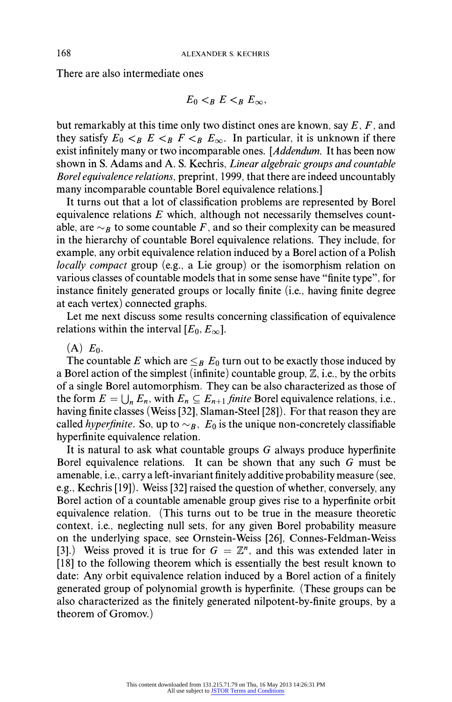**There are also intermediate ones** 

$$
E_0 <_B E <_B E_\infty,
$$

**but remarkably at this time only two distinct ones are known, say E, F, and**  they satisfy  $E_0 \leq_B E \leq_B F \leq_B E_\infty$ . In particular, it is unknown if there **exist infinitely many or two incomparable ones. [Addendum. It has been now shown in S. Adams and A. S. Kechris, Linear algebraic groups and countable Borel equivalence relations, preprint, 1999, that there are indeed uncountably many incomparable countable Borel equivalence relations.]** 

**It turns out that a lot of classification problems are represented by Borel equivalence relations E which, although not necessarily themselves count**able, are  $\sim_B$  to some countable F, and so their complexity can be measured **in the hierarchy of countable Borel equivalence relations. They include, for example, any orbit equivalence relation induced by a Borel action of a Polish locally compact group (e.g., a Lie group) or the isomorphism relation on various classes of countable models that in some sense have "finite type", for instance finitely generated groups or locally finite (i.e., having finite degree at each vertex) connected graphs.** 

**Let me next discuss some results concerning classification of equivalence**  relations within the interval  $[E_0, E_{\infty}]$ .

## $(A) E_0$ .

The countable E which are  $\leq_B E_0$  turn out to be exactly those induced by **a Borel action of the simplest (infinite) countable group, Z, i.e., by the orbits of a single Borel automorphism. They can be also characterized as those of**  the form  $E = \bigcup_{n} E_n$ , with  $E_n \subseteq E_{n+1}$  finite Borel equivalence relations, i.e., **having finite classes (Weiss [32], Slaman-Steel [28]). For that reason they are**  called *hyperfinite*. So, up to  $\sim_B$ ,  $E_0$  is the unique non-concretely classifiable **hyperfinite equivalence relation.** 

**It is natural to ask what countable groups G always produce hyperfinite Borel equivalence relations. It can be shown that any such G must be amenable, i.e., carry a left-invariant finitely additive probability measure (see, e.g., Kechris [19]). Weiss [32] raised the question of whether, conversely, any Borel action of a countable amenable group gives rise to a hyperfinite orbit equivalence relation. (This turns out to be true in the measure theoretic context, i.e., neglecting null sets, for any given Borel probability measure on the underlying space, see Ornstein-Weiss [26], Connes-Feldman-Weiss**  [3].) Weiss proved it is true for  $G = \mathbb{Z}^n$ , and this was extended later in **[18] to the following theorem which is essentially the best result known to date: Any orbit equivalence relation induced by a Borel action of a finitely generated group of polynomial growth is hyperfinite. (These groups can be also characterized as the finitely generated nilpotent-by-finite groups, by a theorem of Gromov.)**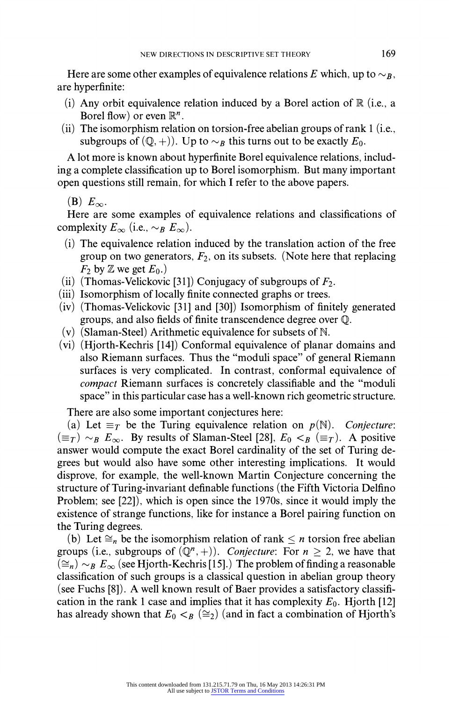Here are some other examples of equivalence relations E which, up to  $\sim_B$ , **are hyperfinite:** 

- **(i) Any orbit equivalence relation induced by a Borel action of IR (i.e., a**  Borel flow) or even  $\mathbb{R}^n$ .
- **(ii) The isomorphism relation on torsion-free abelian groups of rank 1 (i.e.,**  subgroups of  $(Q, +)$ ). Up to  $\sim_B$  this turns out to be exactly  $E_0$ .

**A lot more is known about hyperfinite Borel equivalence relations, including a complete classification up to Borel isomorphism. But many important open questions still remain, for which I refer to the above papers.** 

 $(B)$   $E_{\infty}$ .

**Here are some examples of equivalence relations and classifications of**  complexity  $E_{\infty}$  (i.e.,  $\sim_B E_{\infty}$ ).

- **(i) The equivalence relation induced by the translation action of the free group on two generators, F2, on its subsets. (Note here that replacing**   $F_2$  by  $\mathbb Z$  we get  $E_0$ .)
- **(ii) (Thomas-Velickovic [31]) Conjugacy of subgroups of F2.**
- **(iii) Isomorphism of locally finite connected graphs or trees.**
- **(iv) (Thomas-Velickovic [31] and [30]) Isomorphism of finitely generated groups, and also fields of finite transcendence degree over Q.**
- **(v) (Slaman-Steel) Arithmetic equivalence for subsets of N.**
- **(vi) (Hjorth-Kechris [14]) Conformal equivalence of planar domains and also Riemann surfaces. Thus the "moduli space" of general Riemann surfaces is very complicated. In contrast, conformal equivalence of compact Riemann surfaces is concretely classifiable and the "moduli space" in this particular case has a well-known rich geometric structure.**

**There are also some important conjectures here:** 

(a) Let  $\equiv_T$  be the Turing equivalence relation on  $p(N)$ . Conjecture:  $(\equiv_T) \sim_B E_\infty$ . By results of Slaman-Steel [28],  $E_0 < B \ (\equiv_T)$ . A positive **answer would compute the exact Borel cardinality of the set of Turing degrees but would also have some other interesting implications. It would disprove, for example, the well-known Martin Conjecture concerning the structure of Turing-invariant definable functions (the Fifth Victoria Delfino Problem; see [22]), which is open since the 1970s, since it would imply the existence of strange functions, like for instance a Borel pairing function on the Turing degrees.** 

(b) Let  $\cong_n$  be the isomorphism relation of rank  $\leq n$  torsion free abelian **groups** (i.e., subgroups of  $(\mathbb{Q}^n, +)$ ). Conjecture: For  $n \geq 2$ , we have that  $(\cong_n) \sim_B E_\infty$  (see Hjorth-Kechris [15].) The problem of finding a reasonable **classification of such groups is a classical question in abelian group theory (see Fuchs [8]). A well known result of Baer provides a satisfactory classifi**cation in the rank 1 case and implies that it has complexity  $E_0$ . Hjorth [12] has already shown that  $E_0 < B \ (\cong_2)$  (and in fact a combination of Hjorth's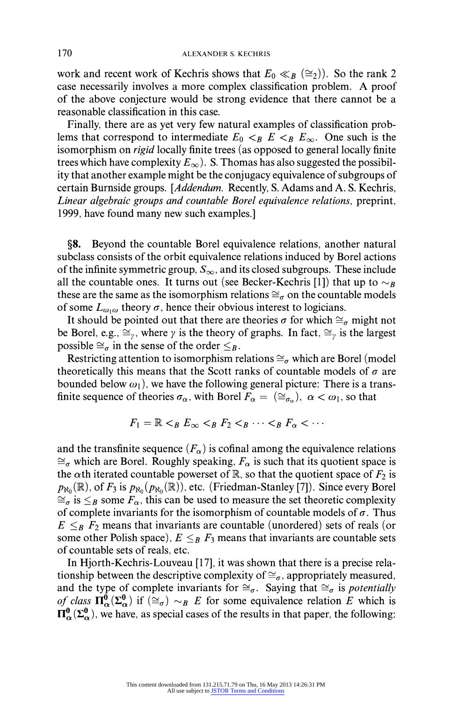work and recent work of Kechris shows that  $E_0 \ll_B (\cong_2)$ . So the rank 2 **case necessarily involves a more complex classification problem. A proof of the above conjecture would be strong evidence that there cannot be a reasonable classification in this case.** 

**Finally, there are as yet very few natural examples of classification prob**lems that correspond to intermediate  $E_0 \lt_B E \lt_B E_\infty$ . One such is the **isomorphism on rigid locally finite trees (as opposed to general locally finite**  trees which have complexity  $E_{\infty}$ ). S. Thomas has also suggested the possibil**ity that another example might be the conjugacy equivalence of subgroups of certain Burnside groups. [Addendum. Recently, S. Adams and A. S. Kechris, Linear algebraic groups and countable Borel equivalence relations, preprint, 1999, have found many new such examples.]** 

**?8. Beyond the countable Borel equivalence relations, another natural subclass consists of the orbit equivalence relations induced by Borel actions**  of the infinite symmetric group,  $S_{\infty}$ , and its closed subgroups. These include all the countable ones. It turns out (see Becker-Kechris [1]) that up to  $\sim_B$ these are the same as the isomorphism relations  $\cong_{\sigma}$  on the countable models of some  $L_{\omega_i\omega}$  theory  $\sigma$ , hence their obvious interest to logicians.

It should be pointed out that there are theories  $\sigma$  for which  $\cong_{\sigma}$  might not be Borel, e.g.,  $\cong_y$ , where  $\gamma$  is the theory of graphs. In fact,  $\cong_y$  is the largest **possible**  $\cong_{\sigma}$  in the sense of the order  $\leq_B$ .

Restricting attention to isomorphism relations  $\cong_{\sigma}$  which are Borel (model theoretically this means that the Scott ranks of countable models of  $\sigma$  are bounded below  $\omega_1$ ), we have the following general picture: There is a transfinite sequence of theories  $\sigma_{\alpha}$ , with Borel  $F_{\alpha} = (\cong_{\sigma_{\alpha}})$ ,  $\alpha < \omega_1$ , so that

$$
F_1 = \mathbb{R} <_{\mathcal{B}} \mathcal{E}_{\infty} <_{\mathcal{B}} \mathcal{F}_2 <_{\mathcal{B}} \cdots <_{\mathcal{B}} \mathcal{F}_{\alpha} < \cdots
$$

and the transfinite sequence  $(F_{\alpha})$  is cofinal among the equivalence relations  $\cong_{\sigma}$  which are Borel. Roughly speaking,  $F_{\alpha}$  is such that its quotient space is the  $\alpha$ th iterated countable powerset of  $\mathbb{R}$ , so that the quotient space of  $F_2$  is  $p_{\aleph_0}(\mathbb{R})$ , of  $F_3$  is  $p_{\aleph_0}(p_{\aleph_0}(\mathbb{R}))$ , etc. (Friedman-Stanley [7]). Since every Borel  $\cong_{\sigma}$  is  $\leq_B$  some  $F_{\alpha}$ , this can be used to measure the set theoretic complexity of complete invariants for the isomorphism of countable models of  $\sigma$ . Thus  $E \leq_B F_2$  means that invariants are countable (unordered) sets of reals (or some other Polish space),  $E \leq_B F_3$  means that invariants are countable sets **of countable sets of reals, etc.** 

**In Hjorth-Kechris-Louveau [17], it was shown that there is a precise rela**tionship between the descriptive complexity of  $\cong_{\sigma}$ , appropriately measured, and the type of complete invariants for  $\cong_{\sigma}$ . Saying that  $\cong_{\sigma}$  is *potentially* of class  $\Pi_{\alpha}^{0}(\Sigma_{\alpha}^{0})$  if  $(\cong_{\sigma}) \sim_{B} E$  for some equivalence relation E which is  $\Pi_{\alpha}^{0}(\Sigma_{\alpha}^{0})$ , we have, as special cases of the results in that paper, the following: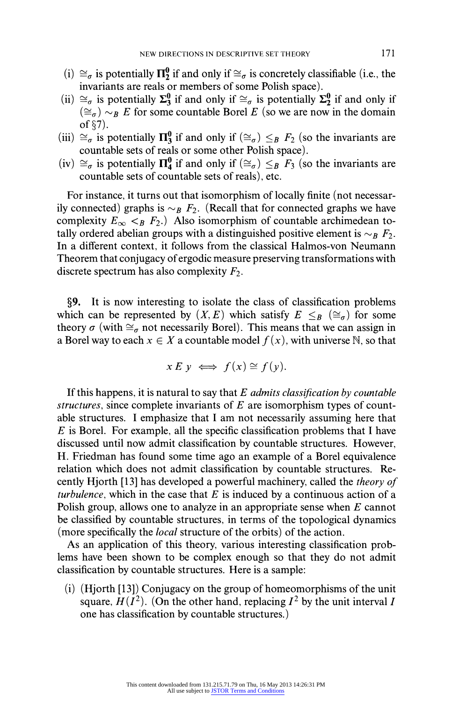- (i)  $\cong_{\sigma}$  is potentially  $\Pi_2^0$  if and only if  $\cong_{\sigma}$  is concretely classifiable (i.e., the **invariants are reals or members of some Polish space).**
- (ii)  $\approx_{\sigma}$  is potentially  $\Sigma_3^0$  if and only if  $\approx_{\sigma}$  is potentially  $\Sigma_2^0$  if and only if  $(\cong_{\sigma}) \sim_{B} E$  for some countable Borel E (so we are now in the domain  $of$   $\S$ 7).
- (iii)  $\cong_{\sigma}$  is potentially  $\Pi_3^0$  if and only if  $(\cong_{\sigma}) \leq_{\sigma} F_2$  (so the invariants are **countable sets of reals or some other Polish space).**
- $(iv) \cong_{\sigma}$  is potentially  $\Pi_4^0$  if and only if  $(\cong_{\sigma}) \leq_B F_3$  (so the invariants are **countable sets of countable sets of reals), etc.**

**For instance, it turns out that isomorphism of locally finite (not necessar**ily connected) graphs is  $\sim_B F_2$ . (Recall that for connected graphs we have complexity  $E_{\infty} <_{B} F_{2}$ .) Also isomorphism of countable archimedean to**tally ordered abelian groups with a distinguished positive element is**  $\sim_B F_2$ **. In a different context, it follows from the classical Halmos-von Neumann Theorem that conjugacy ofergodic measure preserving transformations with**  discrete spectrum has also complexity  $F_2$ .

**?9. It is now interesting to isolate the class of classification problems**  which can be represented by  $(X, E)$  which satisfy  $E \leq_B (\cong_{\sigma})$  for some theory  $\sigma$  (with  $\cong_{\sigma}$  not necessarily Borel). This means that we can assign in **a Borel way to each**  $x \in X$  a countable model  $f(x)$ , with universe N, so that

$$
x E y \iff f(x) \cong f(y).
$$

**If this happens, it is natural to say that E admits classification by countable structures, since complete invariants of E are isomorphism types of countable structures. I emphasize that I am not necessarily assuming here that E is Borel. For example, all the specific classification problems that I have discussed until now admit classification by countable structures. However, H. Friedman has found some time ago an example of a Borel equivalence relation which does not admit classification by countable structures. Recently Hjorth [13] has developed a powerful machinery, called the theory of turbulence, which in the case that E is induced by a continuous action of a Polish group, allows one to analyze in an appropriate sense when E cannot be classified by countable structures, in terms of the topological dynamics (more specifically the local structure of the orbits) of the action.** 

**As an application of this theory, various interesting classification problems have been shown to be complex enough so that they do not admit classification by countable structures. Here is a sample:** 

**(i) (Hjorth [13]) Conjugacy on the group of homeomorphisms of the unit**  square,  $H(I^2)$ . (On the other hand, replacing  $I^2$  by the unit interval I **one has classification by countable structures.)**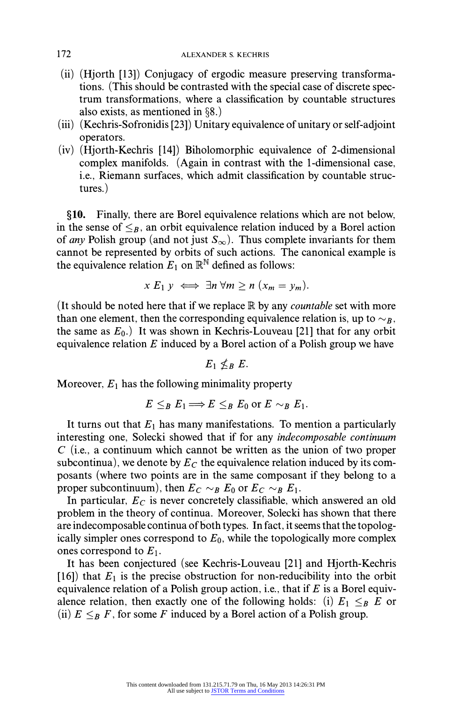- **(ii) (Hjorth [13]) Conjugacy of ergodic measure preserving transformations. (This should be contrasted with the special case of discrete spectrum transformations, where a classification by countable structures also exists, as mentioned in ?8.)**
- **(iii) (Kechris-Sofronidis [23]) Unitary equivalence of unitary or self-adjoint operators.**
- **(iv) (Hjorth-Kechris [14]) Biholomorphic equivalence of 2-dimensional complex manifolds. (Again in contrast with the 1-dimensional case, i.e., Riemann surfaces, which admit classification by countable structures.)**

**?10. Finally, there are Borel equivalence relations which are not below,**  in the sense of  $\leq_B$ , an orbit equivalence relation induced by a Borel action of *any* Polish group (and not just  $S_{\infty}$ ). Thus complete invariants for them **cannot be represented by orbits of such actions. The canonical example is**  the equivalence relation  $E_1$  on  $\mathbb{R}^{\mathbb{N}}$  defined as follows:

$$
x E_1 y \iff \exists n \; \forall m \geq n \; (x_m = y_m).
$$

**(It should be noted here that if we replace IR by any countable set with more**  than one element, then the corresponding equivalence relation is, up to  $\sim_B$ , the same as  $E_0$ .) It was shown in Kechris-Louveau [21] that for any orbit **equivalence relation E induced by a Borel action of a Polish group we have** 

 $E_1 \nless_{B} E$ .

**Moreover, E1 has the following minimality property** 

$$
E \leq_B E_1 \Longrightarrow E \leq_B E_0 \text{ or } E \sim_B E_1.
$$

It turns out that  $E_1$  has many manifestations. To mention a particularly **interesting one, Solecki showed that if for any indecomposable continuum C (i.e., a continuum which cannot be written as the union of two proper**  subcontinua), we denote by  $E_C$  the equivalence relation induced by its com**posants (where two points are in the same composant if they belong to a**  proper subcontinuum), then  $E_C \sim_B E_0$  or  $E_C \sim_B E_1$ .

**In particular, Ec is never concretely classifiable, which answered an old problem in the theory of continua. Moreover, Solecki has shown that there are indecomposable continua of both types. In fact, it seems that the topologically simpler ones correspond to Eo, while the topologically more complex ones correspond to E1.** 

**It has been conjectured (see Kechris-Louveau [21] and Hjorth-Kechris**   $[16]$ ) that  $E_1$  is the precise obstruction for non-reducibility into the orbit **equivalence relation of a Polish group action, i.e., that if E is a Borel equiv**alence relation, then exactly one of the following holds: (i)  $E_1 \leq_B E$  or (ii)  $E \leq_B F$ , for some F induced by a Borel action of a Polish group.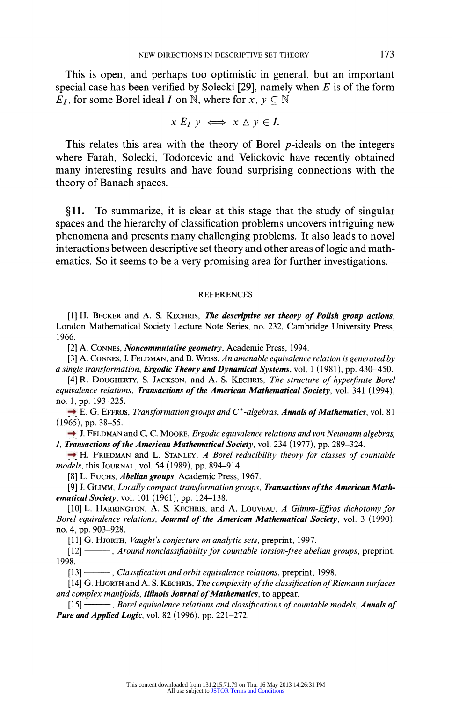**This is open, and perhaps too optimistic in general, but an important special case has been verified by Solecki [29], namely when E is of the form**   $E_I$ , for some Borel ideal I on N, where for  $x, y \in \mathbb{N}$ 

$$
x E_I y \iff x \wedge y \in I.
$$

**This relates this area with the theory of Borel p-ideals on the integers where Farah, Solecki, Todorcevic and Velickovic have recently obtained many interesting results and have found surprising connections with the theory of Banach spaces.** 

**?11. To summarize, it is clear at this stage that the study of singular spaces and the hierarchy of classification problems uncovers intriguing new phenomena and presents many challenging problems. It also leads to novel interactions between descriptive set theory and other areas of logic and mathematics. So it seems to be a very promising area for further investigations.** 

## **REFERENCES**

**[1] H. BECKER and A. S. KECHRIS, The descriptive set theory of Polish group actions, London Mathematical Society Lecture Note Series, no. 232, Cambridge University Press, 1966.** 

**[2] A. CONNES, Noncommutative geometry, Academic Press, 1994.** 

**[3] A. CONNES, J. FELDMAN, and B. WEISS, An amenable equivalence relation is generated by a single transformation, Ergodic Theory and Dynamical Systems, vol. 1 (1981), pp. 430-450.** 

**[4] R. DOUGHERTY, S. JACKSON, and A. S. KECHRIS, The structure of hyperfinite Borel**  equivalence relations, **Transactions of the American Mathematical Society**, vol. 341 (1994), **no. 1, pp. 193-225.** 

**[5] E. G. EFFROS, Transformation groups and C\*-algebras, Annals of Mathematics, vol. 81 (1965), pp. 38-55.** 

**[6] J. FELDMAN and C. C. MooRE, Ergodic equivalence relations and von Neumann algebras, I, Transactions of the American Mathematical Society, vol. 234 (1977), pp. 289-324.** 

**[7] H. FRIEDMAN and L. STANLEY, A Borel reducibility theory for classes of countable models, this JOURNAL, vol. 54 (1989), pp. 894-914.** 

**[8] L. FUCHS, Abelian groups, Academic Press, 1967.** 

**[9] J. GLIMM, Locally compact transformation groups, Transactions of the American Mathematical Society, vol. 101 (1961), pp. 124-138.** 

**[10] L. HARRINGTON, A. S. KECHRIS, and A. LOUVEAU, A Glimm-Effros dichotomy for Borel equivalence relations, Journal of the American Mathematical Society, vol. 3 (1990), no. 4, pp. 903-928.** 

**[1 1] G. HJORTH, Vaught's conjecture on analytic sets, preprint, 1997.** 

**[12] , Around nonclassifiability for countable torsion-free abelian groups, preprint, 1998.** 

**[13] - , Classification and orbit equivalence relations, preprint, 1998.** 

**[14] G. HJORTH and A. S. KECHRIS, The complexity of the classification of Riemann surfaces and complex manifolds, Illinois Journal of Mathematics, to appear.** 

**[15] , Borel equivalence relations and classifications of countable models, Annals of Pure and Applied Logic, vol. 82 (1996), pp. 221-272.**